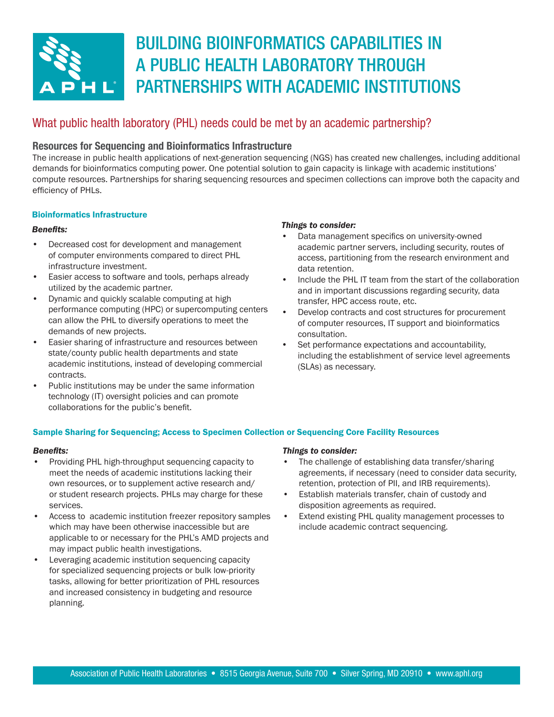

# BUILDING BIOINFORMATICS CAPABILITIES IN A PUBLIC HEALTH LABORATORY THROUGH PARTNERSHIPS WITH ACADEMIC INSTITUTIONS

# What public health laboratory (PHL) needs could be met by an academic partnership?

## Resources for Sequencing and Bioinformatics Infrastructure

The increase in public health applications of next-generation sequencing (NGS) has created new challenges, including additional demands for bioinformatics computing power. One potential solution to gain capacity is linkage with academic institutions' compute resources. Partnerships for sharing sequencing resources and specimen collections can improve both the capacity and efficiency of PHLs.

## Bioinformatics Infrastructure

## *Benefits:*

- Decreased cost for development and management of computer environments compared to direct PHL infrastructure investment.
- Easier access to software and tools, perhaps already utilized by the academic partner.
- Dynamic and quickly scalable computing at high performance computing (HPC) or supercomputing centers can allow the PHL to diversify operations to meet the demands of new projects.
- Easier sharing of infrastructure and resources between state/county public health departments and state academic institutions, instead of developing commercial contracts.
- Public institutions may be under the same information technology (IT) oversight policies and can promote collaborations for the public's benefit.

### *Things to consider:*

- Data management specifics on university-owned academic partner servers, including security, routes of access, partitioning from the research environment and data retention.
- Include the PHL IT team from the start of the collaboration and in important discussions regarding security, data transfer, HPC access route, etc.
- Develop contracts and cost structures for procurement of computer resources, IT support and bioinformatics consultation.
- Set performance expectations and accountability, including the establishment of service level agreements (SLAs) as necessary.

## Sample Sharing for Sequencing; Access to Specimen Collection or Sequencing Core Facility Resources

### *Benefits:*

- Providing PHL high-throughput sequencing capacity to meet the needs of academic institutions lacking their own resources, or to supplement active research and/ or student research projects. PHLs may charge for these services.
- Access to academic institution freezer repository samples which may have been otherwise inaccessible but are applicable to or necessary for the PHL's AMD projects and may impact public health investigations.
- Leveraging academic institution sequencing capacity for specialized sequencing projects or bulk low-priority tasks, allowing for better prioritization of PHL resources and increased consistency in budgeting and resource planning.

### *Things to consider:*

- The challenge of establishing data transfer/sharing agreements, if necessary (need to consider data security, retention, protection of PII, and IRB requirements).
- Establish materials transfer, chain of custody and disposition agreements as required.
- Extend existing PHL quality management processes to include academic contract sequencing.